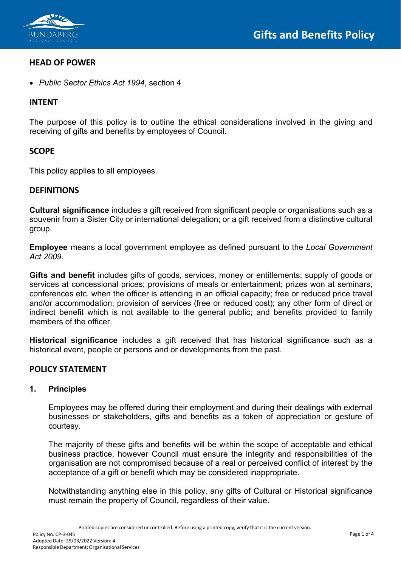

## **HEAD OF POWER**

• *Public Sector Ethics Act 1994*, section 4

## **INTENT**

The purpose of this policy is to outline the ethical considerations involved in the giving and receiving of gifts and benefits by employees of Council.

### **SCOPE**

This policy applies to all employees.

### **DEFINITIONS**

**Cultural significance** includes a gift received from significant people or organisations such as a souvenir from a Sister City or international delegation; or a gift received from a distinctive cultural group.

**Employee** means a local government employee as defined pursuant to the *Local Government Act 2009*.

**Gifts and benefit** includes gifts of goods, services, money or entitlements; supply of goods or services at concessional prices; provisions of meals or entertainment; prizes won at seminars, conferences etc. when the officer is attending in an official capacity; free or reduced price travel and/or accommodation; provision of services (free or reduced cost); any other form of direct or indirect benefit which is not available to the general public; and benefits provided to family members of the officer.

**Historical significance** includes a gift received that has historical significance such as a historical event, people or persons and or developments from the past.

#### **POLICY STATEMENT**

#### **1. Principles**

Employees may be offered during their employment and during their dealings with external businesses or stakeholders, gifts and benefits as a token of appreciation or gesture of courtesy.

The majority of these gifts and benefits will be within the scope of acceptable and ethical business practice, however Council must ensure the integrity and responsibilities of the organisation are not compromised because of a real or perceived conflict of interest by the acceptance of a gift or benefit which may be considered inappropriate.

Notwithstanding anything else in this policy, any gifts of Cultural or Historical significance must remain the property of Council, regardless of their value.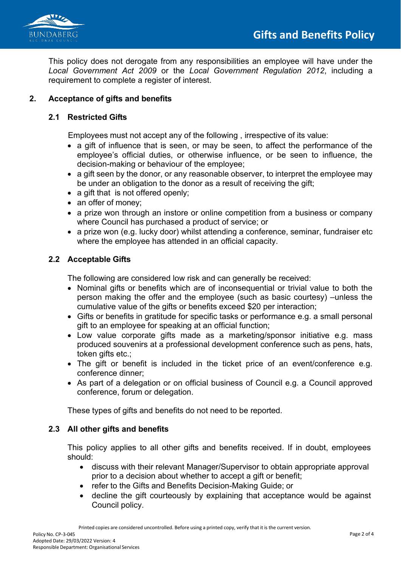

This policy does not derogate from any responsibilities an employee will have under the *Local Government Act 2009* or the *Local Government Regulation 2012*, including a requirement to complete a register of interest.

# **2. Acceptance of gifts and benefits**

## **2.1 Restricted Gifts**

Employees must not accept any of the following , irrespective of its value:

- a gift of influence that is seen, or may be seen, to affect the performance of the employee's official duties, or otherwise influence, or be seen to influence, the decision-making or behaviour of the employee;
- a gift seen by the donor, or any reasonable observer, to interpret the employee may be under an obligation to the donor as a result of receiving the gift;
- a gift that is not offered openly;
- an offer of money;
- a prize won through an instore or online competition from a business or company where Council has purchased a product of service; or
- a prize won (e.g. lucky door) whilst attending a conference, seminar, fundraiser etc where the employee has attended in an official capacity.

### **2.2 Acceptable Gifts**

The following are considered low risk and can generally be received:

- Nominal gifts or benefits which are of inconsequential or trivial value to both the person making the offer and the employee (such as basic courtesy) –unless the cumulative value of the gifts or benefits exceed \$20 per interaction;
- Gifts or benefits in gratitude for specific tasks or performance e.g. a small personal gift to an employee for speaking at an official function;
- Low value corporate gifts made as a marketing/sponsor initiative e.g. mass produced souvenirs at a professional development conference such as pens, hats, token gifts etc.;
- The gift or benefit is included in the ticket price of an event/conference e.g. conference dinner;
- As part of a delegation or on official business of Council e.g. a Council approved conference, forum or delegation.

These types of gifts and benefits do not need to be reported.

## **2.3 All other gifts and benefits**

This policy applies to all other gifts and benefits received. If in doubt, employees should:

- discuss with their relevant Manager/Supervisor to obtain appropriate approval prior to a decision about whether to accept a gift or benefit;
- refer to the Gifts and Benefits Decision-Making Guide; or
- decline the gift courteously by explaining that acceptance would be against Council policy.

Printed copies are considered uncontrolled. Before using a printed copy, verify that it is the current version.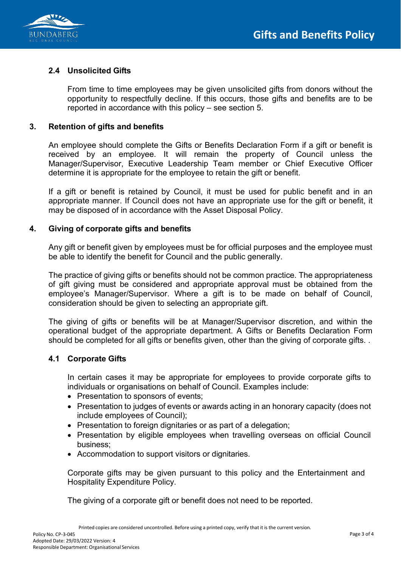

# **2.4 Unsolicited Gifts**

From time to time employees may be given unsolicited gifts from donors without the opportunity to respectfully decline. If this occurs, those gifts and benefits are to be reported in accordance with this policy – see section 5.

## **3. Retention of gifts and benefits**

An employee should complete the Gifts or Benefits Declaration Form if a gift or benefit is received by an employee. It will remain the property of Council unless the Manager/Supervisor, Executive Leadership Team member or Chief Executive Officer determine it is appropriate for the employee to retain the gift or benefit.

If a gift or benefit is retained by Council, it must be used for public benefit and in an appropriate manner. If Council does not have an appropriate use for the gift or benefit, it may be disposed of in accordance with the Asset Disposal Policy.

## **4. Giving of corporate gifts and benefits**

Any gift or benefit given by employees must be for official purposes and the employee must be able to identify the benefit for Council and the public generally.

The practice of giving gifts or benefits should not be common practice. The appropriateness of gift giving must be considered and appropriate approval must be obtained from the employee's Manager/Supervisor. Where a gift is to be made on behalf of Council, consideration should be given to selecting an appropriate gift.

The giving of gifts or benefits will be at Manager/Supervisor discretion, and within the operational budget of the appropriate department. A Gifts or Benefits Declaration Form should be completed for all gifts or benefits given, other than the giving of corporate gifts. .

## **4.1 Corporate Gifts**

In certain cases it may be appropriate for employees to provide corporate gifts to individuals or organisations on behalf of Council. Examples include:

- Presentation to sponsors of events:
- Presentation to judges of events or awards acting in an honorary capacity (does not include employees of Council);
- Presentation to foreign dignitaries or as part of a delegation;
- Presentation by eligible employees when travelling overseas on official Council business;
- Accommodation to support visitors or dignitaries.

Corporate gifts may be given pursuant to this policy and the Entertainment and Hospitality Expenditure Policy.

The giving of a corporate gift or benefit does not need to be reported.